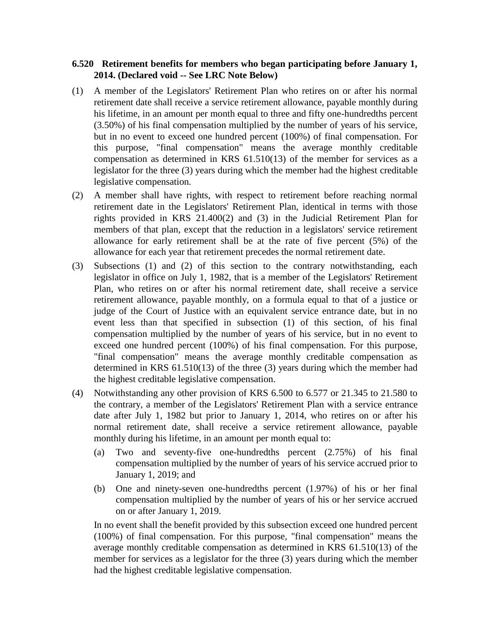## **6.520 Retirement benefits for members who began participating before January 1, 2014. (Declared void -- See LRC Note Below)**

- (1) A member of the Legislators' Retirement Plan who retires on or after his normal retirement date shall receive a service retirement allowance, payable monthly during his lifetime, in an amount per month equal to three and fifty one-hundredths percent (3.50%) of his final compensation multiplied by the number of years of his service, but in no event to exceed one hundred percent (100%) of final compensation. For this purpose, "final compensation" means the average monthly creditable compensation as determined in KRS 61.510(13) of the member for services as a legislator for the three (3) years during which the member had the highest creditable legislative compensation.
- (2) A member shall have rights, with respect to retirement before reaching normal retirement date in the Legislators' Retirement Plan, identical in terms with those rights provided in KRS 21.400(2) and (3) in the Judicial Retirement Plan for members of that plan, except that the reduction in a legislators' service retirement allowance for early retirement shall be at the rate of five percent (5%) of the allowance for each year that retirement precedes the normal retirement date.
- (3) Subsections (1) and (2) of this section to the contrary notwithstanding, each legislator in office on July 1, 1982, that is a member of the Legislators' Retirement Plan, who retires on or after his normal retirement date, shall receive a service retirement allowance, payable monthly, on a formula equal to that of a justice or judge of the Court of Justice with an equivalent service entrance date, but in no event less than that specified in subsection (1) of this section, of his final compensation multiplied by the number of years of his service, but in no event to exceed one hundred percent (100%) of his final compensation. For this purpose, "final compensation" means the average monthly creditable compensation as determined in KRS 61.510(13) of the three (3) years during which the member had the highest creditable legislative compensation.
- (4) Notwithstanding any other provision of KRS 6.500 to 6.577 or 21.345 to 21.580 to the contrary, a member of the Legislators' Retirement Plan with a service entrance date after July 1, 1982 but prior to January 1, 2014, who retires on or after his normal retirement date, shall receive a service retirement allowance, payable monthly during his lifetime, in an amount per month equal to:
	- (a) Two and seventy-five one-hundredths percent (2.75%) of his final compensation multiplied by the number of years of his service accrued prior to January 1, 2019; and
	- (b) One and ninety-seven one-hundredths percent (1.97%) of his or her final compensation multiplied by the number of years of his or her service accrued on or after January 1, 2019.

In no event shall the benefit provided by this subsection exceed one hundred percent (100%) of final compensation. For this purpose, "final compensation" means the average monthly creditable compensation as determined in KRS 61.510(13) of the member for services as a legislator for the three (3) years during which the member had the highest creditable legislative compensation.